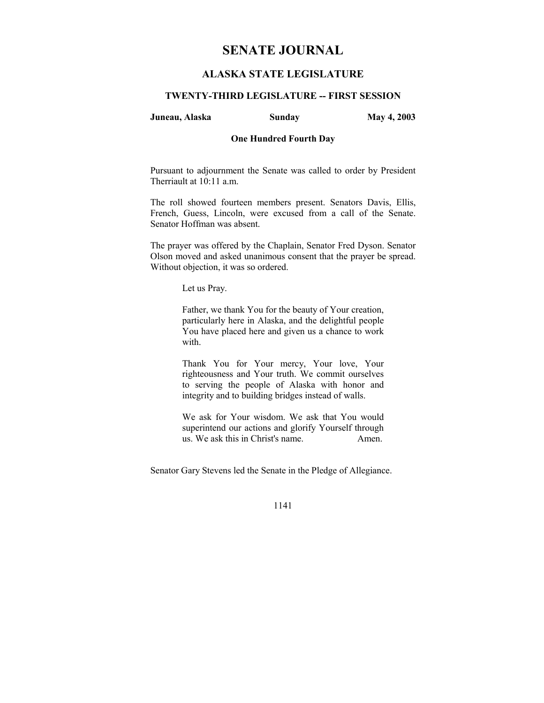# **SENATE JOURNAL**

# **ALASKA STATE LEGISLATURE**

### **TWENTY-THIRD LEGISLATURE -- FIRST SESSION**

### **Juneau, Alaska Sunday May 4, 2003**

#### **One Hundred Fourth Day**

Pursuant to adjournment the Senate was called to order by President Therriault at 10:11 a.m.

The roll showed fourteen members present. Senators Davis, Ellis, French, Guess, Lincoln, were excused from a call of the Senate. Senator Hoffman was absent.

The prayer was offered by the Chaplain, Senator Fred Dyson. Senator Olson moved and asked unanimous consent that the prayer be spread. Without objection, it was so ordered.

Let us Pray.

Father, we thank You for the beauty of Your creation, particularly here in Alaska, and the delightful people You have placed here and given us a chance to work with.

Thank You for Your mercy, Your love, Your righteousness and Your truth. We commit ourselves to serving the people of Alaska with honor and integrity and to building bridges instead of walls.

We ask for Your wisdom. We ask that You would superintend our actions and glorify Yourself through us. We ask this in Christ's name. Amen.

Senator Gary Stevens led the Senate in the Pledge of Allegiance.

1141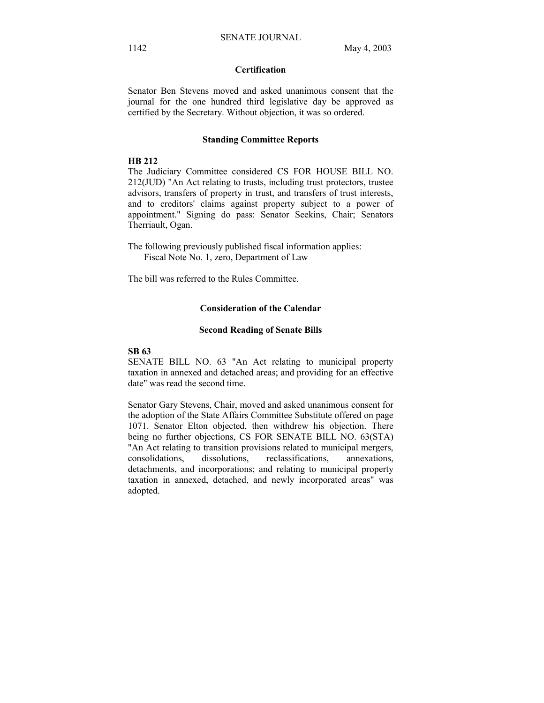## **Certification**

Senator Ben Stevens moved and asked unanimous consent that the journal for the one hundred third legislative day be approved as certified by the Secretary. Without objection, it was so ordered.

#### **Standing Committee Reports**

## **HB 212**

The Judiciary Committee considered CS FOR HOUSE BILL NO. 212(JUD) "An Act relating to trusts, including trust protectors, trustee advisors, transfers of property in trust, and transfers of trust interests, and to creditors' claims against property subject to a power of appointment." Signing do pass: Senator Seekins, Chair; Senators Therriault, Ogan.

The following previously published fiscal information applies: Fiscal Note No. 1, zero, Department of Law

The bill was referred to the Rules Committee.

### **Consideration of the Calendar**

#### **Second Reading of Senate Bills**

### **SB 63**

SENATE BILL NO. 63 "An Act relating to municipal property taxation in annexed and detached areas; and providing for an effective date" was read the second time.

Senator Gary Stevens, Chair, moved and asked unanimous consent for the adoption of the State Affairs Committee Substitute offered on page 1071. Senator Elton objected, then withdrew his objection. There being no further objections, CS FOR SENATE BILL NO. 63(STA) "An Act relating to transition provisions related to municipal mergers, consolidations, dissolutions, reclassifications, annexations, detachments, and incorporations; and relating to municipal property taxation in annexed, detached, and newly incorporated areas" was adopted.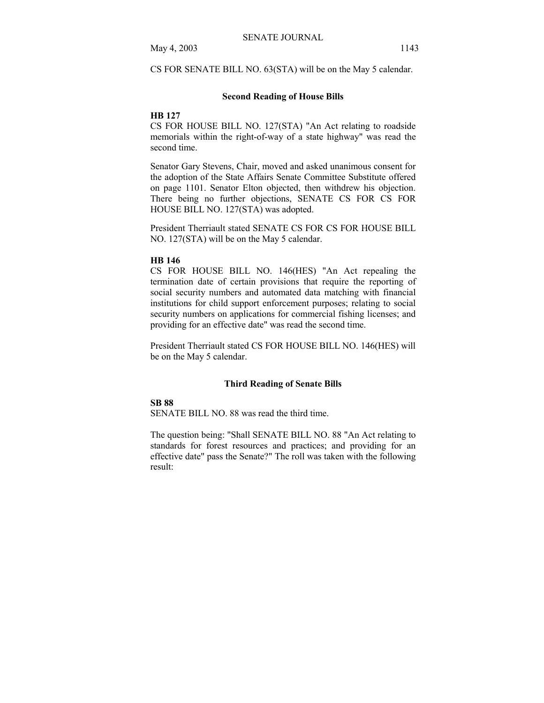CS FOR SENATE BILL NO. 63(STA) will be on the May 5 calendar.

#### **Second Reading of House Bills**

#### **HB 127**

CS FOR HOUSE BILL NO. 127(STA) "An Act relating to roadside memorials within the right-of-way of a state highway" was read the second time.

Senator Gary Stevens, Chair, moved and asked unanimous consent for the adoption of the State Affairs Senate Committee Substitute offered on page 1101. Senator Elton objected, then withdrew his objection. There being no further objections, SENATE CS FOR CS FOR HOUSE BILL NO. 127(STA) was adopted.

President Therriault stated SENATE CS FOR CS FOR HOUSE BILL NO. 127(STA) will be on the May 5 calendar.

#### **HB 146**

CS FOR HOUSE BILL NO. 146(HES) "An Act repealing the termination date of certain provisions that require the reporting of social security numbers and automated data matching with financial institutions for child support enforcement purposes; relating to social security numbers on applications for commercial fishing licenses; and providing for an effective date" was read the second time.

President Therriault stated CS FOR HOUSE BILL NO. 146(HES) will be on the May 5 calendar.

#### **Third Reading of Senate Bills**

#### **SB 88**

SENATE BILL NO. 88 was read the third time.

The question being: "Shall SENATE BILL NO. 88 "An Act relating to standards for forest resources and practices; and providing for an effective date" pass the Senate?" The roll was taken with the following result: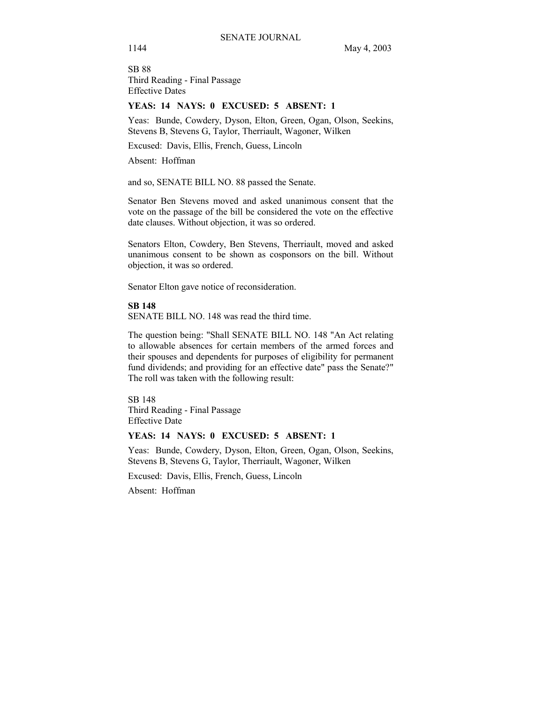SB 88 Third Reading - Final Passage Effective Dates

#### **YEAS: 14 NAYS: 0 EXCUSED: 5 ABSENT: 1**

Yeas: Bunde, Cowdery, Dyson, Elton, Green, Ogan, Olson, Seekins, Stevens B, Stevens G, Taylor, Therriault, Wagoner, Wilken

Excused: Davis, Ellis, French, Guess, Lincoln

Absent: Hoffman

and so, SENATE BILL NO. 88 passed the Senate.

Senator Ben Stevens moved and asked unanimous consent that the vote on the passage of the bill be considered the vote on the effective date clauses. Without objection, it was so ordered.

Senators Elton, Cowdery, Ben Stevens, Therriault, moved and asked unanimous consent to be shown as cosponsors on the bill. Without objection, it was so ordered.

Senator Elton gave notice of reconsideration.

**SB 148** 

SENATE BILL NO. 148 was read the third time.

The question being: "Shall SENATE BILL NO. 148 "An Act relating to allowable absences for certain members of the armed forces and their spouses and dependents for purposes of eligibility for permanent fund dividends; and providing for an effective date" pass the Senate?" The roll was taken with the following result:

SB 148 Third Reading - Final Passage Effective Date

### **YEAS: 14 NAYS: 0 EXCUSED: 5 ABSENT: 1**

Yeas: Bunde, Cowdery, Dyson, Elton, Green, Ogan, Olson, Seekins, Stevens B, Stevens G, Taylor, Therriault, Wagoner, Wilken

Excused: Davis, Ellis, French, Guess, Lincoln

Absent: Hoffman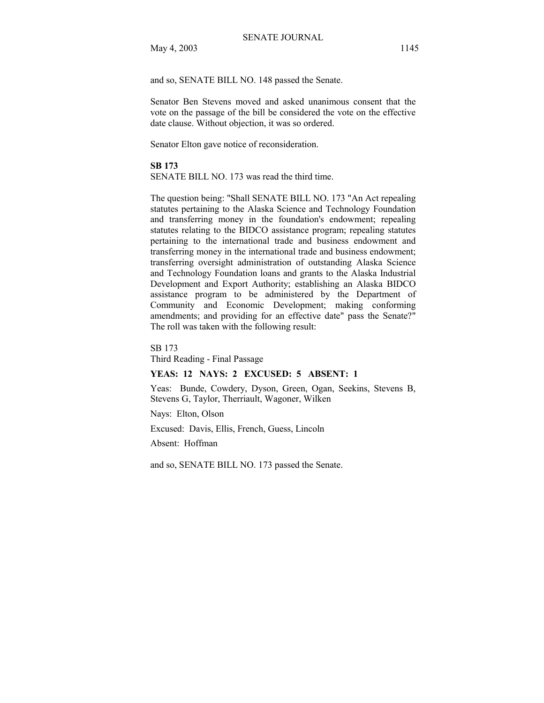May 4, 2003 1145

and so, SENATE BILL NO. 148 passed the Senate.

Senator Ben Stevens moved and asked unanimous consent that the vote on the passage of the bill be considered the vote on the effective date clause. Without objection, it was so ordered.

Senator Elton gave notice of reconsideration.

#### **SB 173**

SENATE BILL NO. 173 was read the third time.

The question being: "Shall SENATE BILL NO. 173 "An Act repealing statutes pertaining to the Alaska Science and Technology Foundation and transferring money in the foundation's endowment; repealing statutes relating to the BIDCO assistance program; repealing statutes pertaining to the international trade and business endowment and transferring money in the international trade and business endowment; transferring oversight administration of outstanding Alaska Science and Technology Foundation loans and grants to the Alaska Industrial Development and Export Authority; establishing an Alaska BIDCO assistance program to be administered by the Department of Community and Economic Development; making conforming amendments; and providing for an effective date" pass the Senate?" The roll was taken with the following result:

SB 173

Third Reading - Final Passage

### **YEAS: 12 NAYS: 2 EXCUSED: 5 ABSENT: 1**

Yeas: Bunde, Cowdery, Dyson, Green, Ogan, Seekins, Stevens B, Stevens G, Taylor, Therriault, Wagoner, Wilken

Nays: Elton, Olson

Excused: Davis, Ellis, French, Guess, Lincoln

Absent: Hoffman

and so, SENATE BILL NO. 173 passed the Senate.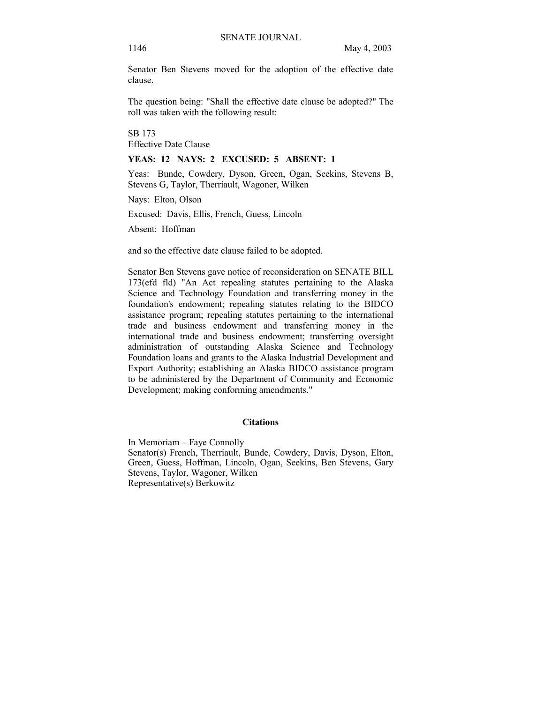Senator Ben Stevens moved for the adoption of the effective date clause.

The question being: "Shall the effective date clause be adopted?" The roll was taken with the following result:

SB 173

Effective Date Clause

### **YEAS: 12 NAYS: 2 EXCUSED: 5 ABSENT: 1**

Yeas: Bunde, Cowdery, Dyson, Green, Ogan, Seekins, Stevens B, Stevens G, Taylor, Therriault, Wagoner, Wilken

Nays: Elton, Olson

Excused: Davis, Ellis, French, Guess, Lincoln

Absent: Hoffman

and so the effective date clause failed to be adopted.

Senator Ben Stevens gave notice of reconsideration on SENATE BILL 173(efd fld) "An Act repealing statutes pertaining to the Alaska Science and Technology Foundation and transferring money in the foundation's endowment; repealing statutes relating to the BIDCO assistance program; repealing statutes pertaining to the international trade and business endowment and transferring money in the international trade and business endowment; transferring oversight administration of outstanding Alaska Science and Technology Foundation loans and grants to the Alaska Industrial Development and Export Authority; establishing an Alaska BIDCO assistance program to be administered by the Department of Community and Economic Development; making conforming amendments."

#### **Citations**

In Memoriam – Faye Connolly Senator(s) French, Therriault, Bunde, Cowdery, Davis, Dyson, Elton, Green, Guess, Hoffman, Lincoln, Ogan, Seekins, Ben Stevens, Gary Stevens, Taylor, Wagoner, Wilken Representative(s) Berkowitz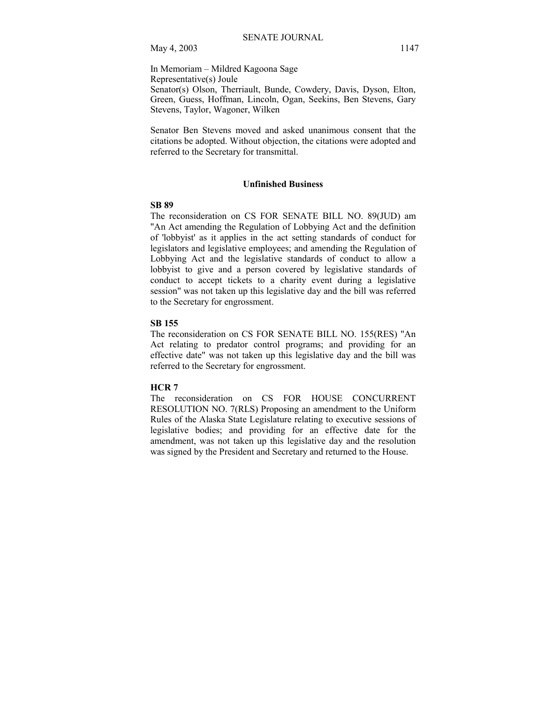In Memoriam - Mildred Kagoona Sage Representative(s) Joule Senator(s) Olson, Therriault, Bunde, Cowdery, Davis, Dyson, Elton, Green, Guess, Hoffman, Lincoln, Ogan, Seekins, Ben Stevens, Gary Stevens, Taylor, Wagoner, Wilken

Senator Ben Stevens moved and asked unanimous consent that the citations be adopted. Without objection, the citations were adopted and referred to the Secretary for transmittal.

### **Unfinished Business**

## **SB 89**

The reconsideration on CS FOR SENATE BILL NO. 89(JUD) am "An Act amending the Regulation of Lobbying Act and the definition of 'lobbyist' as it applies in the act setting standards of conduct for legislators and legislative employees; and amending the Regulation of Lobbying Act and the legislative standards of conduct to allow a lobbyist to give and a person covered by legislative standards of conduct to accept tickets to a charity event during a legislative session" was not taken up this legislative day and the bill was referred to the Secretary for engrossment.

#### **SB 155**

The reconsideration on CS FOR SENATE BILL NO. 155(RES) "An Act relating to predator control programs; and providing for an effective date" was not taken up this legislative day and the bill was referred to the Secretary for engrossment.

#### **HCR 7**

The reconsideration on CS FOR HOUSE CONCURRENT RESOLUTION NO. 7(RLS) Proposing an amendment to the Uniform Rules of the Alaska State Legislature relating to executive sessions of legislative bodies; and providing for an effective date for the amendment, was not taken up this legislative day and the resolution was signed by the President and Secretary and returned to the House.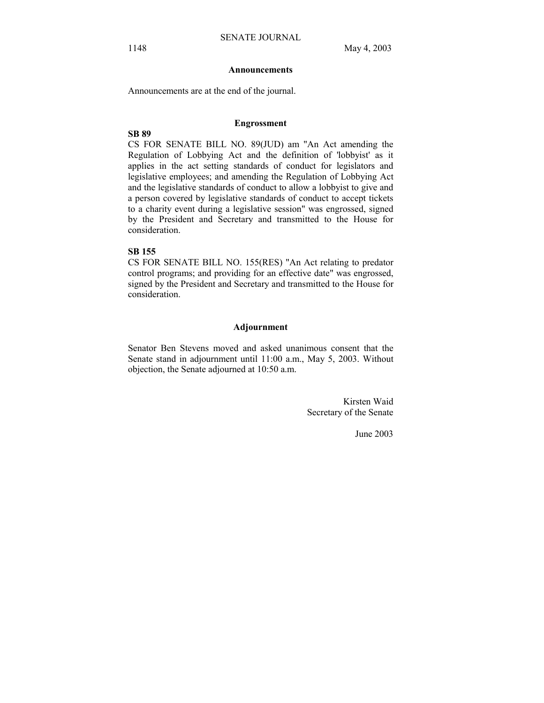#### **Announcements**

Announcements are at the end of the journal.

#### **Engrossment**

### **SB 89**

CS FOR SENATE BILL NO. 89(JUD) am "An Act amending the Regulation of Lobbying Act and the definition of 'lobbyist' as it applies in the act setting standards of conduct for legislators and legislative employees; and amending the Regulation of Lobbying Act and the legislative standards of conduct to allow a lobbyist to give and a person covered by legislative standards of conduct to accept tickets to a charity event during a legislative session" was engrossed, signed by the President and Secretary and transmitted to the House for consideration.

# **SB 155**

CS FOR SENATE BILL NO. 155(RES) "An Act relating to predator control programs; and providing for an effective date" was engrossed, signed by the President and Secretary and transmitted to the House for consideration.

### **Adjournment**

Senator Ben Stevens moved and asked unanimous consent that the Senate stand in adjournment until 11:00 a.m., May 5, 2003. Without objection, the Senate adjourned at 10:50 a.m.

> Kirsten Waid Secretary of the Senate

> > June 2003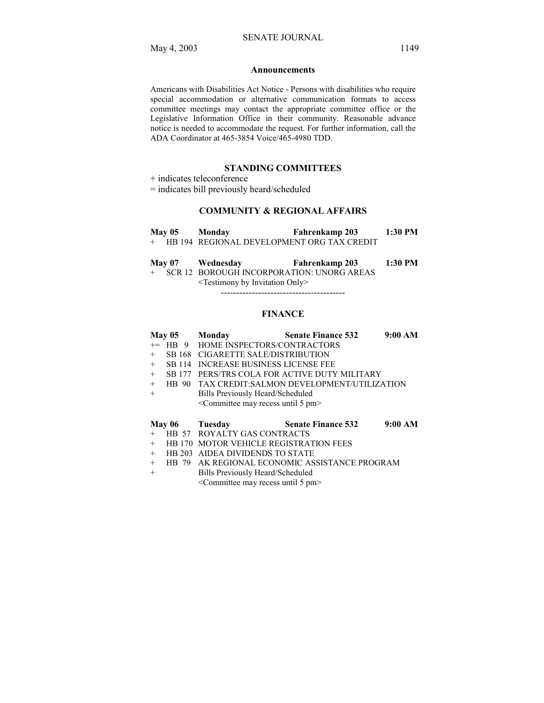#### **Announcements**

Americans with Disabilities Act Notice - Persons with disabilities who require special accommodation or alternative communication formats to access committee meetings may contact the appropriate committee office or the Legislative Information Office in their community. Reasonable advance notice is needed to accommodate the request. For further information, call the ADA Coordinator at 465-3854 Voice/465-4980 TDD.

### **STANDING COMMITTEES**

+ indicates teleconference

= indicates bill previously heard/scheduled

### **COMMUNITY & REGIONAL AFFAIRS**

| <b>May 05</b> | Monday | <b>Fahrenkamp 203</b>                        | 1:30 PM |
|---------------|--------|----------------------------------------------|---------|
|               |        | + HB 194 REGIONAL DEVELOPMENT ORG TAX CREDIT |         |
|               |        |                                              |         |

|     | Mav 07 | Wednesday                           | Fahrenkamp 203                            | $1:30$ PM |
|-----|--------|-------------------------------------|-------------------------------------------|-----------|
| $+$ |        |                                     | SCR 12 BOROUGH INCORPORATION: UNORG AREAS |           |
|     |        | $\le$ Testimony by Invitation Only> |                                           |           |

----------------------------------------

#### **FINANCE**

| May 05 Monday |  |                                                              | <b>Senate Finance 532</b>                       | $9:00~\mathrm{AM}$ |
|---------------|--|--------------------------------------------------------------|-------------------------------------------------|--------------------|
|               |  | += HB 9 HOME INSPECTORS/CONTRACTORS                          |                                                 |                    |
|               |  | + SB 168 CIGARETTE SALE/DISTRIBUTION                         |                                                 |                    |
|               |  | + SB 114 INCREASE BUSINESS LICENSE FEE                       |                                                 |                    |
|               |  |                                                              | + SB 177 PERS/TRS COLA FOR ACTIVE DUTY MILITARY |                    |
| $+$           |  |                                                              | HB 90 TAX CREDIT:SALMON DEVELOPMENT/UTILIZATION |                    |
| $+$           |  | Bills Previously Heard/Scheduled                             |                                                 |                    |
|               |  | <committee 5="" may="" pm="" recess="" until=""></committee> |                                                 |                    |

#### **May 06 Tuesday Senate Finance 532 9:00 AM**

- + HB 57 ROYALTY GAS CONTRACTS
- + HB 170 MOTOR VEHICLE REGISTRATION FEES<br>+ HB 203 AIDEA DIVIDENDS TO STATE HB 203 AIDEA DIVIDENDS TO STATE
- + HB 79 AK REGIONAL ECONOMIC ASSISTANCE PROGRAM
- + Bills Previously Heard/Scheduled
	- <Committee may recess until 5 pm>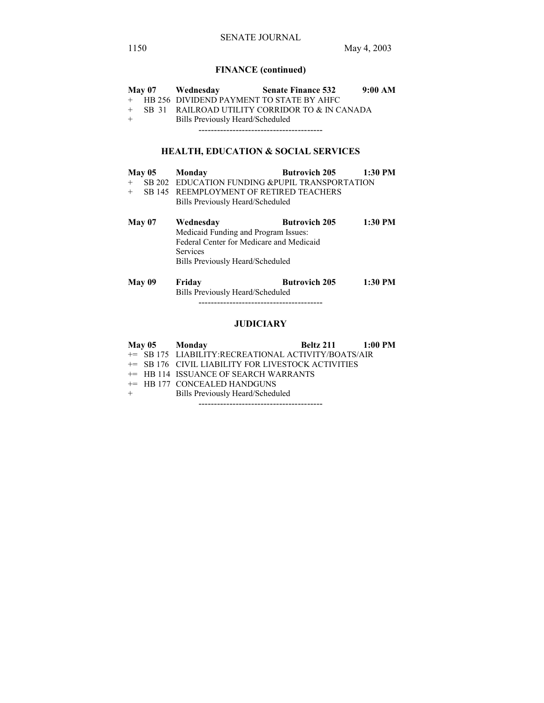# **FINANCE (continued)**

|               |  | May 07 Wednesday                          | <b>Senate Finance 532</b>                         | 9:00 AM   |
|---------------|--|-------------------------------------------|---------------------------------------------------|-----------|
| $+$           |  | HB 256 DIVIDEND PAYMENT TO STATE BY AHFC  |                                                   |           |
| $+$           |  |                                           | SB 31 RAILROAD UTILITY CORRIDOR TO & IN CANADA    |           |
| $+$           |  | Bills Previously Heard/Scheduled          |                                                   |           |
|               |  |                                           |                                                   |           |
|               |  |                                           |                                                   |           |
|               |  |                                           | <b>HEALTH, EDUCATION &amp; SOCIAL SERVICES</b>    |           |
| <b>May 05</b> |  | Monday                                    | <b>Butrovich 205</b>                              | $1:30$ PM |
|               |  |                                           | + SB 202 EDUCATION FUNDING & PUPIL TRANSPORTATION |           |
|               |  | + SB 145 REEMPLOYMENT OF RETIRED TEACHERS |                                                   |           |
|               |  | Bills Previously Heard/Scheduled          |                                                   |           |
|               |  |                                           |                                                   |           |
| May 07        |  | Wednesday                                 | <b>Butrovich 205</b>                              | $1:30$ PM |
|               |  | Medicaid Funding and Program Issues:      |                                                   |           |
|               |  | Federal Center for Medicare and Medicaid  |                                                   |           |
|               |  | <b>Services</b>                           |                                                   |           |
|               |  | Bills Previously Heard/Scheduled          |                                                   |           |
|               |  |                                           |                                                   |           |
| May 09        |  | Friday                                    | <b>Butrovich 205</b>                              | $1:30$ PM |
|               |  | Bills Previously Heard/Scheduled          |                                                   |           |
|               |  |                                           |                                                   |           |
|               |  |                                           |                                                   |           |

# **JUDICIARY**

|         |  | May 05 Monday                                       | <b>Beltz 211</b> 1:00 PM |  |
|---------|--|-----------------------------------------------------|--------------------------|--|
|         |  | += SB 175 LIABILITY:RECREATIONAL ACTIVITY/BOATS/AIR |                          |  |
|         |  | += SB 176 CIVIL LIABILITY FOR LIVESTOCK ACTIVITIES  |                          |  |
|         |  | $+=$ HB 114 ISSUANCE OF SEARCH WARRANTS             |                          |  |
|         |  | $+=$ HB 177 CONCEALED HANDGUNS                      |                          |  |
| $+$ $-$ |  | Bills Previously Heard/Scheduled                    |                          |  |
|         |  |                                                     |                          |  |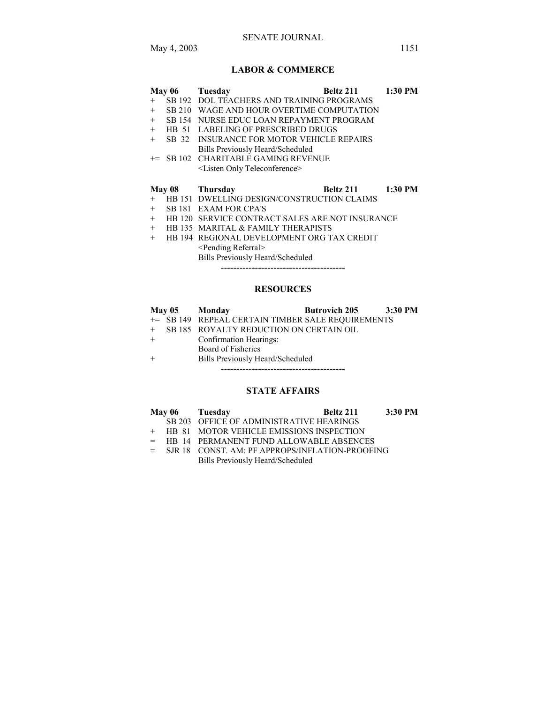## SENATE JOURNAL

# **LABOR & COMMERCE**

|        | May 06 | Tuesday                                         | Beltz 211         | $1:30$ PM |
|--------|--------|-------------------------------------------------|-------------------|-----------|
| $+$    |        | SB 192 DOL TEACHERS AND TRAINING PROGRAMS       |                   |           |
| $+$    |        | SB 210 WAGE AND HOUR OVERTIME COMPUTATION       |                   |           |
| $^{+}$ |        | SB 154 NURSE EDUC LOAN REPAYMENT PROGRAM        |                   |           |
| $+$    |        | <b>HB 51 LABELING OF PRESCRIBED DRUGS</b>       |                   |           |
| $+$    | SB 32  | INSURANCE FOR MOTOR VEHICLE REPAIRS             |                   |           |
|        |        | Bills Previously Heard/Scheduled                |                   |           |
| $+=$   |        | SB 102 CHARITABLE GAMING REVENUE                |                   |           |
|        |        | <listen only="" teleconference=""></listen>     |                   |           |
|        |        |                                                 |                   |           |
|        |        |                                                 |                   |           |
|        |        | May 08 Thursday                                 | Beltz 211 1:30 PM |           |
| $+$    |        | HB 151 DWELLING DESIGN/CONSTRUCTION CLAIMS      |                   |           |
| $+$    |        | SB 181 EXAM FOR CPA'S                           |                   |           |
| $^{+}$ |        | HB 120 SERVICE CONTRACT SALES ARE NOT INSURANCE |                   |           |
| $+$    |        | HB 135 MARITAL & FAMILY THERAPISTS              |                   |           |
| $^{+}$ |        | HB 194 REGIONAL DEVELOPMENT ORG TAX CREDIT      |                   |           |
|        |        | $\le$ Pending Referral $\ge$                    |                   |           |

Bills Previously Heard/Scheduled

----------------------------------------

# **RESOURCES**

| May 05 Monday |                                                   | <b>Butrovich 205</b> | 3:30 PM |
|---------------|---------------------------------------------------|----------------------|---------|
|               | += SB 149 REPEAL CERTAIN TIMBER SALE REQUIREMENTS |                      |         |
|               | + SB 185 ROYALTY REDUCTION ON CERTAIN OIL         |                      |         |
|               | Confirmation Hearings:                            |                      |         |
|               | Board of Fisheries                                |                      |         |
|               | Bills Previously Heard/Scheduled                  |                      |         |

----------------------------------------

# **STATE AFFAIRS**

|  | May 06 Tuesday                                      | Beltz 211 | $3:30$ PM |
|--|-----------------------------------------------------|-----------|-----------|
|  | SB 203 OFFICE OF ADMINISTRATIVE HEARINGS            |           |           |
|  | + HB 81 MOTOR VEHICLE EMISSIONS INSPECTION          |           |           |
|  | $=$ HB 14 PERMANENT FUND ALLOWABLE ABSENCES         |           |           |
|  | $=$ SJR 18 CONST. AM: PF APPROPS/INFLATION-PROOFING |           |           |

Bills Previously Heard/Scheduled